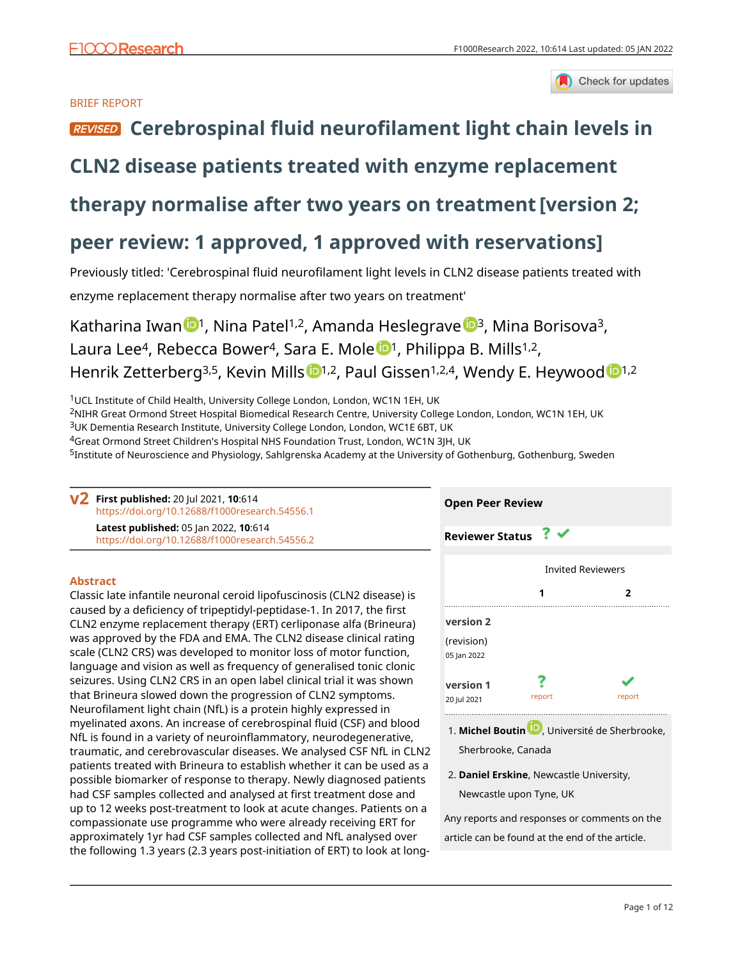

### BRIEF REPORT

# **REVISED** [Cerebrospinal fluid neurofilament light chain levels in](https://f1000research.com/articles/10-614/v2)

## **[CLN2 disease patients treated with enzyme replacement](https://f1000research.com/articles/10-614/v2)**

## **[therapy normalise after two years on treatment](https://f1000research.com/articles/10-614/v2) [version 2;**

## **peer review: 1 approved, 1 approved with reservations]**

Previously titled: 'Cerebrospinal fluid neurofilament light levels in CLN2 disease patients treated with enzyme replacement therapy normalise after two years on treatment'

Kathari[n](https://orcid.org/0000-0002-5223-0620)a Iwan  $\mathbb{D}^1$ , Nina Patel<sup>1,2</sup>, Amanda Heslegrave  $\mathbb{D}^3$ , Mina Borisova<sup>3</sup>, Laura L[e](https://orcid.org/0000-0003-4385-4957)e<sup>4</sup>, Rebecca Bower<sup>4</sup>, Sara E. Mole <sup>1</sup>, Philippa B. Mills<sup>1,2</sup>, Henrik Zetterberg<sup>3,5</sup>, Kevin Mills <sup>1,2</sup>, Paul Gissen<sup>1,2,4</sup>, Wen[d](https://orcid.org/0000-0003-2106-8760)y E. Heywood <sup>1,2</sup>

<sup>1</sup>UCL Institute of Child Health, University College London, London, WC1N 1EH, UK

<sup>2</sup>NIHR Great Ormond Street Hospital Biomedical Research Centre, University College London, London, WC1N 1EH, UK <sup>3</sup>UK Dementia Research Institute, University College London, London, WC1E 6BT, UK

<sup>4</sup>Great Ormond Street Children's Hospital NHS Foundation Trust, London, WC1N 3JH, UK

<sup>5</sup>Institute of Neuroscience and Physiology, Sahlgrenska Academy at the University of Gothenburg, Gothenburg, Sweden

**First published:** 20 Jul 2021, **10**:614 **v2** <https://doi.org/10.12688/f1000research.54556.1> **Latest published:** 05 Jan 2022, **10**:614

<https://doi.org/10.12688/f1000research.54556.2>

## **Abstract**

Classic late infantile neuronal ceroid lipofuscinosis (CLN2 disease) is caused by a deficiency of tripeptidyl-peptidase-1. In 2017, the first CLN2 enzyme replacement therapy (ERT) cerliponase alfa (Brineura) was approved by the FDA and EMA. The CLN2 disease clinical rating scale (CLN2 CRS) was developed to monitor loss of motor function, language and vision as well as frequency of generalised tonic clonic seizures. Using CLN2 CRS in an open label clinical trial it was shown that Brineura slowed down the progression of CLN2 symptoms. Neurofilament light chain (NfL) is a protein highly expressed in myelinated axons. An increase of cerebrospinal fluid (CSF) and blood NfL is found in a variety of neuroinflammatory, neurodegenerative, traumatic, and cerebrovascular diseases. We analysed CSF NfL in CLN2 patients treated with Brineura to establish whether it can be used as a possible biomarker of response to therapy. Newly diagnosed patients had CSF samples collected and analysed at first treatment dose and up to 12 weeks post-treatment to look at acute changes. Patients on a compassionate use programme who were already receiving ERT for approximately 1yr had CSF samples collected and NfL analysed over the following 1.3 years (2.3 years post-initiation of ERT) to look at long-



- 1. Michel Boutin **U.**[,](https://orcid.org/0000-0001-6289-1839) Université de Sherbrooke, Sherbrooke, Canada
- **Daniel Erskine**, Newcastle University, 2. Newcastle upon Tyne, UK

Any reports and responses or comments on the article can be found at the end of the article.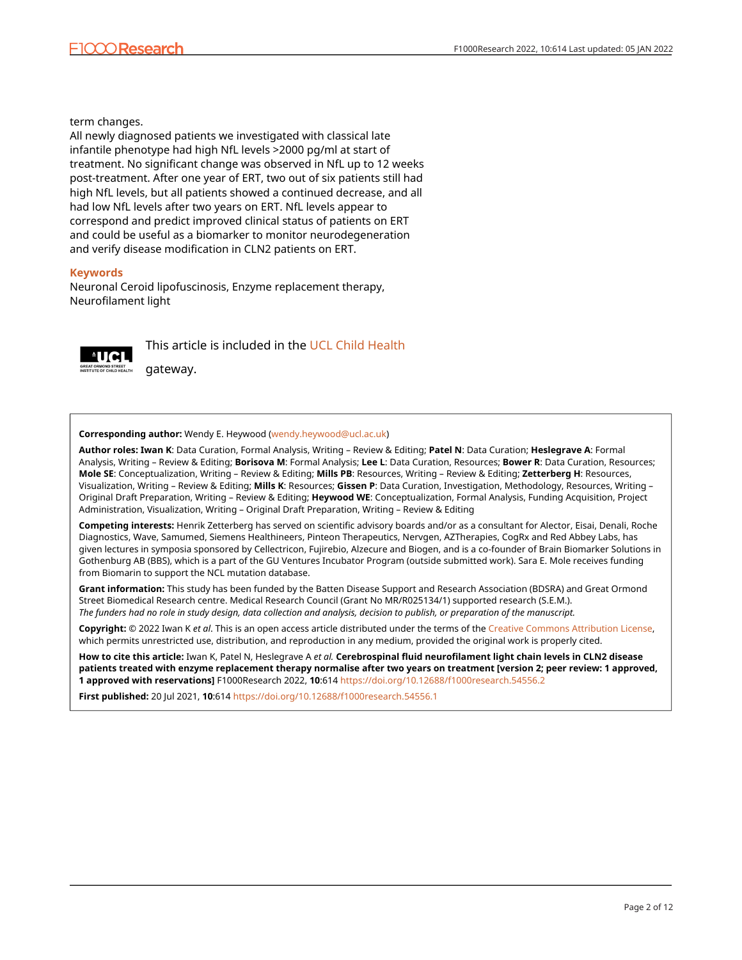term changes.

All newly diagnosed patients we investigated with classical late infantile phenotype had high NfL levels >2000 pg/ml at start of treatment. No significant change was observed in NfL up to 12 weeks post-treatment. After one year of ERT, two out of six patients still had high NfL levels, but all patients showed a continued decrease, and all had low NfL levels after two years on ERT. NfL levels appear to correspond and predict improved clinical status of patients on ERT and could be useful as a biomarker to monitor neurodegeneration and verify disease modification in CLN2 patients on ERT.

#### **Keywords**

Neuronal Ceroid lipofuscinosis, Enzyme replacement therapy, Neurofilament light



This article is included in the [UCL Child Health](https://f1000research.com/gateways/uclchildhealth)

gateway.

#### **Corresponding author:** Wendy E. Heywood [\(wendy.heywood@ucl.ac.uk\)](mailto:wendy.heywood@ucl.ac.uk)

**Author roles: Iwan K**: Data Curation, Formal Analysis, Writing – Review & Editing; **Patel N**: Data Curation; **Heslegrave A**: Formal Analysis, Writing – Review & Editing; **Borisova M**: Formal Analysis; **Lee L**: Data Curation, Resources; **Bower R**: Data Curation, Resources; **Mole SE**: Conceptualization, Writing – Review & Editing; **Mills PB**: Resources, Writing – Review & Editing; **Zetterberg H**: Resources, Visualization, Writing – Review & Editing; **Mills K**: Resources; **Gissen P**: Data Curation, Investigation, Methodology, Resources, Writing – Original Draft Preparation, Writing – Review & Editing; **Heywood WE**: Conceptualization, Formal Analysis, Funding Acquisition, Project Administration, Visualization, Writing – Original Draft Preparation, Writing – Review & Editing

**Competing interests:** Henrik Zetterberg has served on scientific advisory boards and/or as a consultant for Alector, Eisai, Denali, Roche Diagnostics, Wave, Samumed, Siemens Healthineers, Pinteon Therapeutics, Nervgen, AZTherapies, CogRx and Red Abbey Labs, has given lectures in symposia sponsored by Cellectricon, Fujirebio, Alzecure and Biogen, and is a co-founder of Brain Biomarker Solutions in Gothenburg AB (BBS), which is a part of the GU Ventures Incubator Program (outside submitted work). Sara E. Mole receives funding from Biomarin to support the NCL mutation database.

**Grant information:** This study has been funded by the Batten Disease Support and Research Association (BDSRA) and Great Ormond Street Biomedical Research centre. Medical Research Council (Grant No MR/R025134/1) supported research (S.E.M.). *The funders had no role in study design, data collection and analysis, decision to publish, or preparation of the manuscript.*

**Copyright:** © 2022 Iwan K *et al*. This is an open access article distributed under the terms of the [Creative Commons Attribution License,](http://creativecommons.org/licenses/by/4.0/) which permits unrestricted use, distribution, and reproduction in any medium, provided the original work is properly cited.

**How to cite this article:** Iwan K, Patel N, Heslegrave A *et al.* **Cerebrospinal fluid neurofilament light chain levels in CLN2 disease patients treated with enzyme replacement therapy normalise after two years on treatment [version 2; peer review: 1 approved, 1 approved with reservations]** F1000Research 2022, **10**:614 <https://doi.org/10.12688/f1000research.54556.2>

**First published:** 20 Jul 2021, **10**:614<https://doi.org/10.12688/f1000research.54556.1>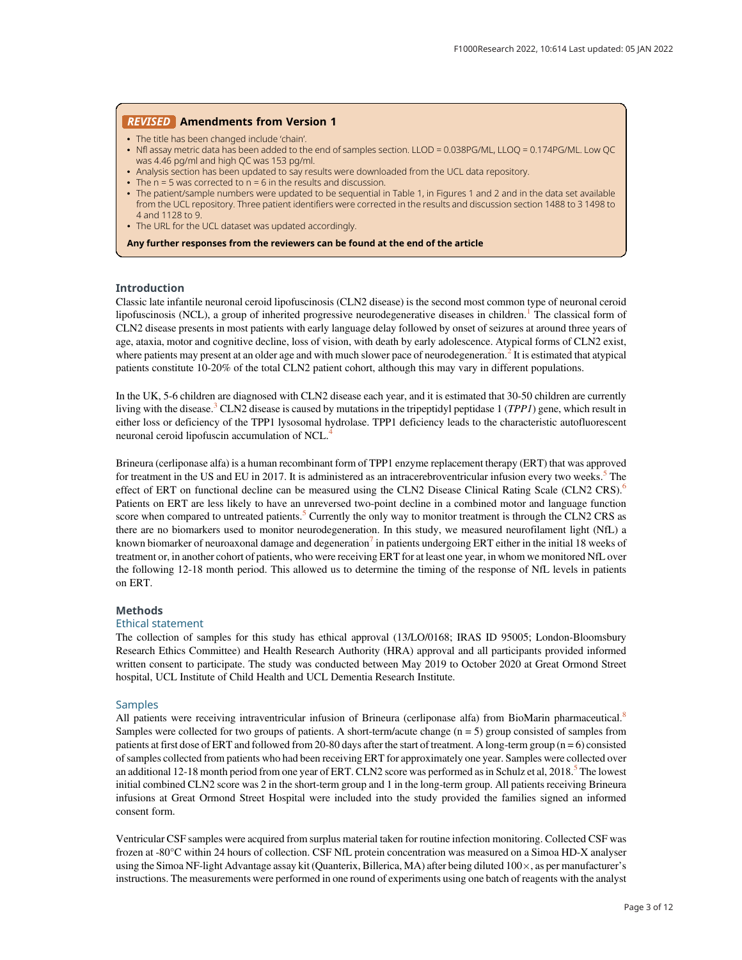#### REVISED Amendments from Version 1

- The title has been changed include 'chain'.
- Nfl assay metric data has been added to the end of samples section. LLOD = 0.038PG/ML, LLOQ = 0.174PG/ML. Low QC was 4.46 pg/ml and high QC was 153 pg/ml.
- Analysis section has been updated to say results were downloaded from the UCL data repository.
- The  $n = 5$  was corrected to  $n = 6$  in the results and discussion.
- The patient/sample numbers were updated to be sequential in Table 1, in Figures 1 and 2 and in the data set available from the UCL repository. Three patient identifiers were corrected in the results and discussion section 1488 to 3 1498 to 4 and 1128 to 9.
- The URL for the UCL dataset was updated accordingly.

Any further responses from the reviewers can be found at the end of the article

#### Introduction

Classic late infantile neuronal ceroid lipofuscinosis (CLN2 disease) is the second most common type of neuronal ceroid lipofuscinosis (NCL), a group of inherited progressive neurodegenerative diseases in children.<sup>[1](#page-6-0)</sup> The classical form of CLN2 disease presents in most patients with early language delay followed by onset of seizures at around three years of age, ataxia, motor and cognitive decline, loss of vision, with death by early adolescence. Atypical forms of CLN2 exist, where patients may present at an older age and with much slower pace of neurodegeneration.<sup>[2](#page-6-0)</sup> It is estimated that atypical patients constitute 10-20% of the total CLN2 patient cohort, although this may vary in different populations.

In the UK, 5-6 children are diagnosed with CLN2 disease each year, and it is estimated that 30-50 children are currently living with the disease.<sup>[3](#page-6-0)</sup> CLN2 disease is caused by mutations in the tripeptidyl peptidase 1 (*TPP1*) gene, which result in either loss or deficiency of the TPP1 lysosomal hydrolase. TPP1 deficiency leads to the characteristic autofluorescent neuronal ceroid lipofuscin accumulation of NCL.[4](#page-6-0)

Brineura (cerliponase alfa) is a human recombinant form of TPP1 enzyme replacement therapy (ERT) that was approved for treatment in the US and EU in 2017. It is administered as an intracerebroventricular infusion every two weeks. $\overline{S}$  The effect of ERT on functional decline can be measured using the CLN2 Disease Clinical Rating Scale (CLN2 CRS).<sup>[6](#page-6-0)</sup> Patients on ERT are less likely to have an unreversed two-point decline in a combined motor and language function score when compared to untreated patients.<sup>[5](#page-6-0)</sup> Currently the only way to monitor treatment is through the CLN2 CRS as there are no biomarkers used to monitor neurodegeneration. In this study, we measured neurofilament light (NfL) a known biomarker of neuroaxonal damage and degeneration $\ell$  in patients undergoing ERT either in the initial 18 weeks of treatment or, in another cohort of patients, who were receiving ERT for at least one year, in whom we monitored NfL over the following 12-18 month period. This allowed us to determine the timing of the response of NfL levels in patients on ERT.

#### **Methods**

#### Ethical statement

The collection of samples for this study has ethical approval (13/LO/0168; IRAS ID 95005; London-Bloomsbury Research Ethics Committee) and Health Research Authority (HRA) approval and all participants provided informed written consent to participate. The study was conducted between May 2019 to October 2020 at Great Ormond Street hospital, UCL Institute of Child Health and UCL Dementia Research Institute.

#### Samples

All patients were receiving intraventricular infusion of Brineura (cerliponase alfa) from BioMarin pharmaceutical.<sup>[8](#page-6-0)</sup> Samples were collected for two groups of patients. A short-term/acute change (n = 5) group consisted of samples from patients at first dose of ERT and followed from 20-80 days after the start of treatment. A long-term group  $(n = 6)$  consisted of samples collected from patients who had been receiving ERT for approximately one year. Samples were collected over an additional 12-18 month period from one year of ERT. CLN2 score was performed as in Schulz et al,  $2018$ <sup>[5](#page-6-0)</sup> The lowest initial combined CLN2 score was 2 in the short-term group and 1 in the long-term group. All patients receiving Brineura infusions at Great Ormond Street Hospital were included into the study provided the families signed an informed consent form.

Ventricular CSF samples were acquired from surplus material taken for routine infection monitoring. Collected CSF was frozen at -80°C within 24 hours of collection. CSF NfL protein concentration was measured on a Simoa HD-X analyser using the Simoa NF-light Advantage assay kit (Quanterix, Billerica, MA) after being diluted  $100\times$ , as per manufacturer's instructions. The measurements were performed in one round of experiments using one batch of reagents with the analyst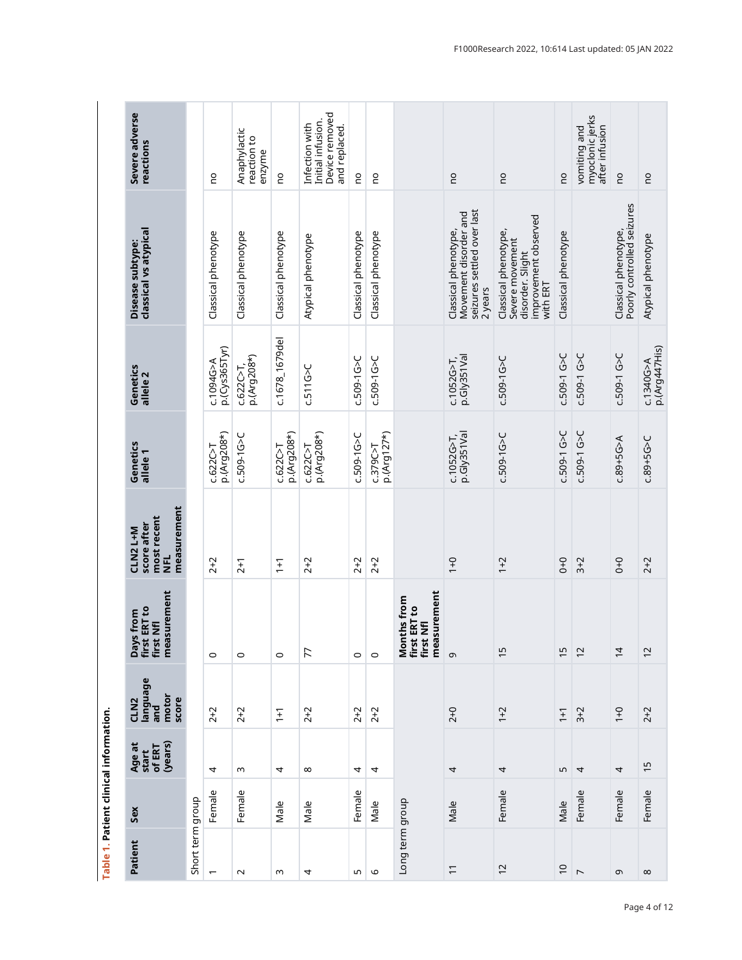<span id="page-3-0"></span>

|  | Severe adverse<br>reactions                                     |                  | 0U                            | Anaphylactic<br>reaction to<br>enzyme | <b>DU</b>                 | Device removed<br>Initial infusion.<br>Infection with<br>and replaced. | <b>DU</b>           | <b>OU</b>                 |                                                                      | 0U                                                                                     | <b>DU</b>                                                                                       | <b>DU</b>           | myoclonic jerks<br>after infusion<br>vomiting and | $\overline{c}$                                     | 0U                           |
|--|-----------------------------------------------------------------|------------------|-------------------------------|---------------------------------------|---------------------------|------------------------------------------------------------------------|---------------------|---------------------------|----------------------------------------------------------------------|----------------------------------------------------------------------------------------|-------------------------------------------------------------------------------------------------|---------------------|---------------------------------------------------|----------------------------------------------------|------------------------------|
|  | classical vs atypical<br>Disease subtype:                       |                  | Classical phenotype           | Classical phenotype                   | Classical phenotype       | Atypical phenotype                                                     | Classical phenotype | Classical phenotype       |                                                                      | seizures settled over last<br>Movement disorder and<br>Classical phenotype,<br>2 years | improvement observed<br>Classical phenotype,<br>Severe movement<br>disorder. Slight<br>with ERT | Classical phenotype |                                                   | Poorly controlled seizures<br>Classical phenotype, | Atypical phenotype           |
|  | Genetics<br>allele <sub>2</sub>                                 |                  | $p$ .(Cys365Tyr)<br>c.1094G>A | p.(Arg208*)<br>C.622C>T               | c.1678_1679del            | c.511G > C                                                             | $C.509 - 1G > C$    | $C.509 - 1G > C$          |                                                                      | p.Gly351Val<br>$C.1052G > T$ ,                                                         | $C.509 - 1G > C$                                                                                | C.509-1 G>C         | c.509-1 G>C                                       | c.509-1 G>C                                        | p.(Arg447His)<br>c.1340G > A |
|  | Genetics<br>allele <sub>1</sub>                                 |                  | p.(Arg208*)<br>C.622C > T     | $C.509 - 1G > C$                      | p.(Arg208*)<br>C.622C > T | p.(Arg208*)<br>C.622C > T                                              | c.509-1G>C          | p.(Arg127*)<br>C.379C > T |                                                                      | p.Gly351Val<br>$c.1052G > T$ ,                                                         | c.509-1G>C                                                                                      | C.509-1 G>C         | c.509-1 G>C                                       | $C.89 + 5G > A$                                    | $C.89 + 5G > C$              |
|  | measurement<br>most recent<br>score after<br>CLN2 L+M<br>로<br>르 |                  | $2 + 2$                       | $2 + 1$                               | $\overline{1}$            | $2 + 2$                                                                | $2 + 2$             | $2 + 2$                   |                                                                      | $0+1$                                                                                  | $1 + 2$                                                                                         | $0+0$               | $3 + 2$                                           | $0+0$                                              | $2 + 2$                      |
|  | measurement<br>Days from<br>first ERT to<br>first Nfl           |                  | $\circ$                       | $\circ$                               | $\circ$                   | 77                                                                     | $\circ$             | $\circ$                   | measurement<br>nths from<br>Months fron<br>first ERT to<br>first Nfl | თ,                                                                                     | 15                                                                                              | 15                  | $\overline{c}$                                    | $\overline{4}$                                     | $\overline{c}$               |
|  | language<br>motor<br>score<br>CLN <sub>2</sub><br>and           |                  | $2 + 2$                       | $2 + 2$                               | $\overline{1}$            | $2 + 2$                                                                | $2 + 2$             | $2 + 2$                   |                                                                      | $2 + 0$                                                                                | $1 + 2$                                                                                         | $1+1$               | $3 + 2$                                           | $0+1$                                              | $2 + 2$                      |
|  | (years)<br>Age at<br>start<br>of ERT                            |                  | 4                             | w                                     | 4                         | $\infty$                                                               | 4                   | 4                         |                                                                      | 4                                                                                      | 4                                                                                               | 5                   | $\overline{4}$                                    | 4                                                  | $\overline{1}$               |
|  | Sex                                                             |                  | Female                        | Female                                | Male                      | Male                                                                   | Female              | Male                      |                                                                      | Male                                                                                   | Female                                                                                          | Male                | Female                                            | Female                                             | Female                       |
|  | Patient                                                         | Short term group | $\overline{ }$                | $\sim$                                | w                         | 4                                                                      | S                   | $\circ$                   | Long term group                                                      | $\overline{1}$                                                                         | $\overline{c}$                                                                                  | $\overline{C}$      | $\overline{C}$                                    | G                                                  | $\infty$                     |
|  |                                                                 |                  |                               |                                       |                           |                                                                        |                     |                           |                                                                      |                                                                                        |                                                                                                 |                     |                                                   |                                                    |                              |

Table 1. Patient clinical information. Table 1. Patient clinical information.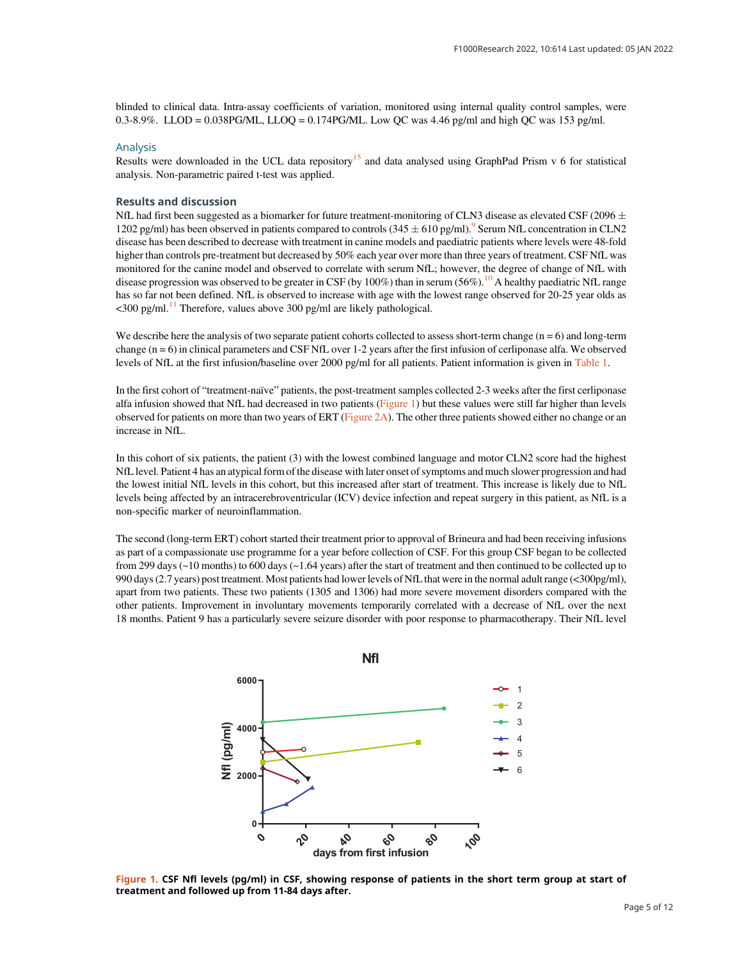blinded to clinical data. Intra-assay coefficients of variation, monitored using internal quality control samples, were 0.3-8.9%. LLOD = 0.038PG/ML, LLOQ = 0.174PG/ML. Low QC was 4.46 pg/ml and high QC was 153 pg/ml.

#### Analysis

Results were downloaded in the UCL data repository<sup>[15](#page-6-0)</sup> and data analysed using GraphPad Prism v 6 for statistical analysis. Non-parametric paired t-test was applied.

#### Results and discussion

NfL had first been suggested as a biomarker for future treatment-monitoring of CLN3 disease as elevated CSF (2096  $\pm$ 1202 pg/ml) has been observed in patients compared to controls  $(345 \pm 610 \text{ pg/ml})$ .<sup>[9](#page-6-0)</sup> Serum NfL concentration in CLN2 disease has been described to decrease with treatment in canine models and paediatric patients where levels were 48-fold higher than controls pre-treatment but decreased by 50% each year over more than three years of treatment. CSF NfL was monitored for the canine model and observed to correlate with serum NfL; however, the degree of change of NfL with disease progression was observed to be greater in CSF (by [10](#page-6-0)0%) than in serum  $(56\%)$ .<sup>10</sup> A healthy paediatric NfL range has so far not been defined. NfL is observed to increase with age with the lowest range observed for 20-25 year olds as  $\leq$ 300 pg/ml.<sup>[11](#page-6-0)</sup> Therefore, values above 300 pg/ml are likely pathological.

We describe here the analysis of two separate patient cohorts collected to assess short-term change  $(n = 6)$  and long-term change  $(n = 6)$  in clinical parameters and CSF NfL over 1-2 years after the first infusion of cerliponase alfa. We observed levels of NfL at the first infusion/baseline over 2000 pg/ml for all patients. Patient information is given in [Table 1.](#page-3-0)

In the first cohort of "treatment-naïve" patients, the post-treatment samples collected 2-3 weeks after the first cerliponase alfa infusion showed that NfL had decreased in two patients (Figure 1) but these values were still far higher than levels observed for patients on more than two years of ERT [\(Figure 2A](#page-5-0)). The other three patients showed either no change or an increase in NfL.

In this cohort of six patients, the patient (3) with the lowest combined language and motor CLN2 score had the highest NfL level. Patient 4 has an atypical form of the disease with later onset of symptoms and much slower progression and had the lowest initial NfL levels in this cohort, but this increased after start of treatment. This increase is likely due to NfL levels being affected by an intracerebroventricular (ICV) device infection and repeat surgery in this patient, as NfL is a non-specific marker of neuroinflammation.

The second (long-term ERT) cohort started their treatment prior to approval of Brineura and had been receiving infusions as part of a compassionate use programme for a year before collection of CSF. For this group CSF began to be collected from 299 days (~10 months) to 600 days (~1.64 years) after the start of treatment and then continued to be collected up to 990 days (2.7 years) post treatment. Most patients had lower levels of NfL that were in the normal adult range (<300pg/ml), apart from two patients. These two patients (1305 and 1306) had more severe movement disorders compared with the other patients. Improvement in involuntary movements temporarily correlated with a decrease of NfL over the next 18 months. Patient 9 has a particularly severe seizure disorder with poor response to pharmacotherapy. Their NfL level



Figure 1. CSF Nfl levels (pg/ml) in CSF, showing response of patients in the short term group at start of treatment and followed up from 11-84 days after.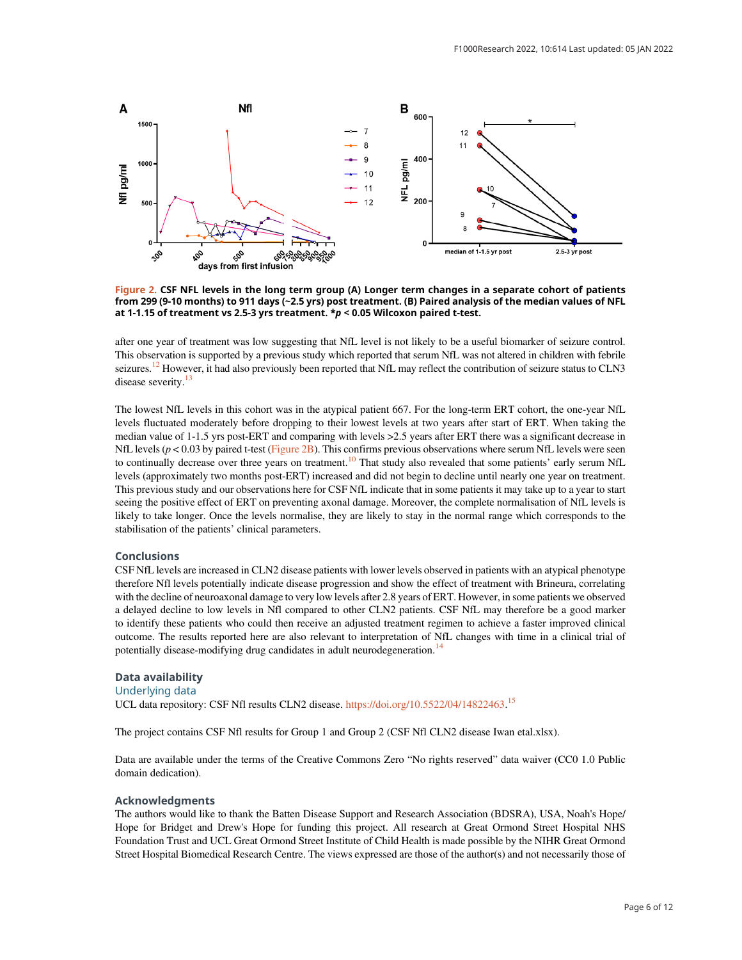<span id="page-5-0"></span>

Figure 2. CSF NFL levels in the long term group (A) Longer term changes in a separate cohort of patients from 299 (9-10 months) to 911 days (~2.5 yrs) post treatment. (B) Paired analysis of the median values of NFL at 1-1.15 of treatment vs 2.5-3 yrs treatment.  $* p < 0.05$  Wilcoxon paired t-test.

after one year of treatment was low suggesting that NfL level is not likely to be a useful biomarker of seizure control. This observation is supported by a previous study which reported that serum NfL was not altered in children with febrile seizures.<sup>12</sup> However, it had also previously been reported that NfL may reflect the contribution of seizure status to CLN3 disease severity.<sup>13</sup>

The lowest NfL levels in this cohort was in the atypical patient 667. For the long-term ERT cohort, the one-year NfL levels fluctuated moderately before dropping to their lowest levels at two years after start of ERT. When taking the median value of 1-1.5 yrs post-ERT and comparing with levels >2.5 years after ERT there was a significant decrease in NfL levels ( $p < 0.03$  by paired t-test (Figure 2B). This confirms previous observations where serum NfL levels were seen to continually decrease over three years on treatment.<sup>[10](#page-6-0)</sup> That study also revealed that some patients' early serum NfL levels (approximately two months post-ERT) increased and did not begin to decline until nearly one year on treatment. This previous study and our observations here for CSF NfL indicate that in some patients it may take up to a year to start seeing the positive effect of ERT on preventing axonal damage. Moreover, the complete normalisation of NfL levels is likely to take longer. Once the levels normalise, they are likely to stay in the normal range which corresponds to the stabilisation of the patients' clinical parameters.

#### Conclusions

CSF NfL levels are increased in CLN2 disease patients with lower levels observed in patients with an atypical phenotype therefore Nfl levels potentially indicate disease progression and show the effect of treatment with Brineura, correlating with the decline of neuroaxonal damage to very low levels after 2.8 years of ERT. However, in some patients we observed a delayed decline to low levels in Nfl compared to other CLN2 patients. CSF NfL may therefore be a good marker to identify these patients who could then receive an adjusted treatment regimen to achieve a faster improved clinical outcome. The results reported here are also relevant to interpretation of NfL changes with time in a clinical trial of potentially disease-modifying drug candidates in adult neurodegeneration.<sup>[14](#page-6-0)</sup>

#### Data availability Underlying data

UCL data repository: CSF Nfl results CLN2 disease. [https://doi.org/10.5522/04/14822463.](https://doi.org/10.5522/04/14822463)<sup>[15](#page-6-0)</sup>

The project contains CSF Nfl results for Group 1 and Group 2 (CSF Nfl CLN2 disease Iwan etal.xlsx).

Data are available under the terms of the Creative Commons Zero "No rights reserved" data waiver (CC0 1.0 Public domain dedication).

#### Acknowledgments

The authors would like to thank the Batten Disease Support and Research Association (BDSRA), USA, Noah's Hope/ Hope for Bridget and Drew's Hope for funding this project. All research at Great Ormond Street Hospital NHS Foundation Trust and UCL Great Ormond Street Institute of Child Health is made possible by the NIHR Great Ormond Street Hospital Biomedical Research Centre. The views expressed are those of the author(s) and not necessarily those of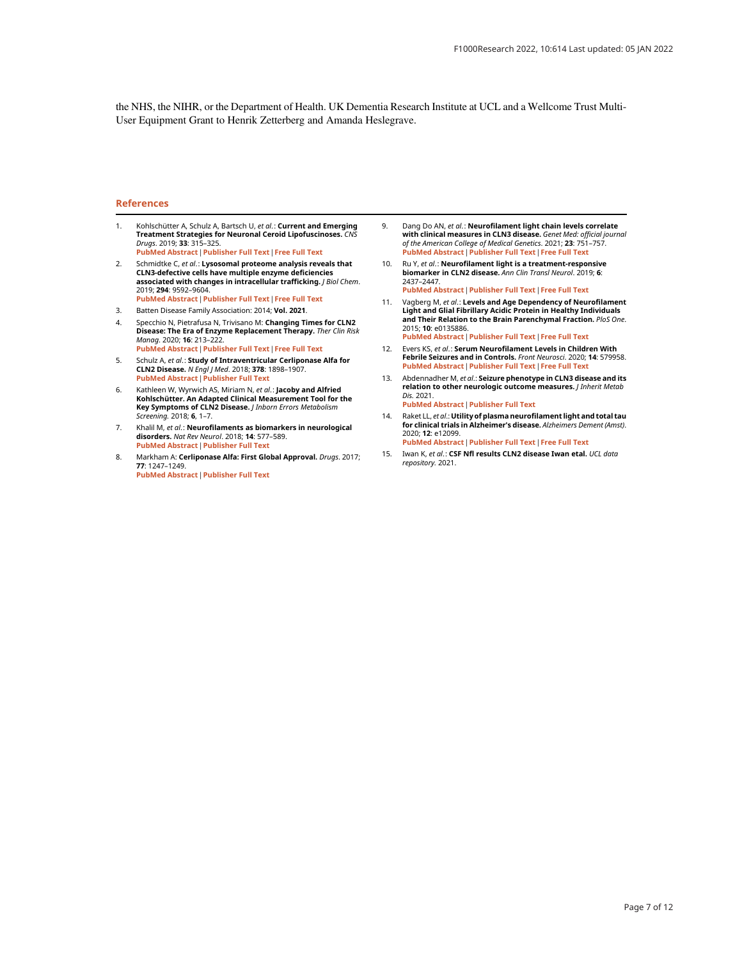<span id="page-6-0"></span>the NHS, the NIHR, or the Department of Health. UK Dementia Research Institute at UCL and a Wellcome Trust Multi-User Equipment Grant to Henrik Zetterberg and Amanda Heslegrave.

#### References

- 1. Kohlschütter A, Schulz A, Bartsch U, et al.: Current and Emerging Treatment Strategies for Neuronal Ceroid Lipofuscinoses. CNS Drugs. 2019; 33: 315–325. [PubMed Abstract](http://www.ncbi.nlm.nih.gov/pubmed/30877620)[|](https://doi.org/10.1007/s40263-019-00620-8)[Publisher Full Text](https://doi.org/10.1007/s40263-019-00620-8)[|](http://www.ncbi.nlm.nih.gov/pmc/articles/PMC6440934)[Free Full Text](http://www.ncbi.nlm.nih.gov/pmc/articles/PMC6440934)
- 2. Schmidtke C, et al.: Lysosomal proteome analysis reveals that CLN3-defective cells have multiple enzyme deficiencies associated with changes in intracellular trafficking. J Biol Chem. 2019; 294: 9592–9604. [PubMed Abstract](http://www.ncbi.nlm.nih.gov/pubmed/31040178)[|](https://doi.org/10.1074/jbc.RA119.008852)[Publisher Full Text](https://doi.org/10.1074/jbc.RA119.008852)[|](http://www.ncbi.nlm.nih.gov/pmc/articles/PMC6579452)[Free Full Text](http://www.ncbi.nlm.nih.gov/pmc/articles/PMC6579452)
- 3. Batten Disease Family Association: 2014; Vol. 2021.
- 4. Specchio N, Pietrafusa N, Trivisano M: **Changing Times for CLN2**<br>Disease: The Era of Enzyme Replacement Therapy. *Ther Clin Risk* Manag. 2020; 16: 213–222. [PubMed Abstract](http://www.ncbi.nlm.nih.gov/pubmed/32280231)[|](https://doi.org/10.2147/TCRM.S241048)[Publisher Full Text](https://doi.org/10.2147/TCRM.S241048)[|](http://www.ncbi.nlm.nih.gov/pmc/articles/PMC7127909)[Free Full Text](http://www.ncbi.nlm.nih.gov/pmc/articles/PMC7127909)
- 5. Schulz A, et al.: Study of Intraventricular Cerliponase Alfa for CLN2 Disease. *N Engl J Med*. 2018; **378**: 1898–1907.<br><mark>[PubMed Abstract](http://www.ncbi.nlm.nih.gov/pubmed/29688815) [|](https://doi.org/10.1056/NEJMoa1712649) [Publisher Full Text](https://doi.org/10.1056/NEJMoa1712649)</mark>
- 6. Kathleen W, Wyrwich AS, Miriam N, et al.: Jacoby and Alfried Kohlschütter. An Adapted Clinical Measurement Tool for the<br>Key Symptoms of CLN2 Disease. *J Inborn Errors Metabolism* Screening. 2018; 6, 1–7.
- 7. Khalil M, et al.: Neurofilaments as biomarkers in neurological disorders. Nat Rev Neurol. 2018; 14: 577–589. [PubMed Abstract](http://www.ncbi.nlm.nih.gov/pubmed/30171200)[|](https://doi.org/10.1038/s41582-018-0058-z)[Publisher Full Text](https://doi.org/10.1038/s41582-018-0058-z)
- 8. Markham A: Cerliponase Alfa: First Global Approval. Drugs. 2017; 77: 1247–1249.
- [PubMed Abstract](http://www.ncbi.nlm.nih.gov/pubmed/28589525)[|](https://doi.org/10.1007/s40265-017-0771-8)[Publisher Full Text](https://doi.org/10.1007/s40265-017-0771-8)
- 9. Dang Do AN, et al.: Neurofilament light chain levels correlate with clinical measures in CLN3 disease. Genet Med: official journal of the American College of Medical Genetics. 2021; 23: 751–757. [PubMed Abstract](http://www.ncbi.nlm.nih.gov/pubmed/33239751)[|](https://doi.org/10.1038/s41436-020-01035-3)[Publisher Full Text](https://doi.org/10.1038/s41436-020-01035-3)[|](http://www.ncbi.nlm.nih.gov/pmc/articles/PMC8035240)[Free Full Text](http://www.ncbi.nlm.nih.gov/pmc/articles/PMC8035240)
- 10. Ru Y, et al.: Neurofilament light is a treatment-responsive biomarker in CLN2 disease. Ann Clin Transl Neurol. 2019; 6: 2437–2447. [PubMed Abstract](http://www.ncbi.nlm.nih.gov/pubmed/31814335)[|](https://doi.org/10.1002/acn3.50942)[Publisher Full Text](https://doi.org/10.1002/acn3.50942)[|](http://www.ncbi.nlm.nih.gov/pmc/articles/PMC6917340)[Free Full Text](http://www.ncbi.nlm.nih.gov/pmc/articles/PMC6917340)
- 11. Vagberg M, et al.: Levels and Age Dependency of Neurofilament Light and Glial Fibrillary Acidic Protein in Healthy Individuals and Their Relation to the Brain Parenchymal Fraction. PloS One. 2015; 10: e0135886. [PubMed Abstract](http://www.ncbi.nlm.nih.gov/pubmed/26317831)[|](https://doi.org/10.1371/journal.pone.0135886)[Publisher Full Text](https://doi.org/10.1371/journal.pone.0135886)[|](http://www.ncbi.nlm.nih.gov/pmc/articles/PMC4552591)[Free Full Text](http://www.ncbi.nlm.nih.gov/pmc/articles/PMC4552591)
- 12. Evers KS, et al.: Serum Neurofilament Levels in Children With Febrile Seizures and in Controls. Front Neurosci. 2020; 14: 579958. [PubMed Abstract](http://www.ncbi.nlm.nih.gov/pubmed/33132834)[|](https://doi.org/10.3389/fnins.2020.579958)[Publisher Full Text](https://doi.org/10.3389/fnins.2020.579958)[|](http://www.ncbi.nlm.nih.gov/pmc/articles/PMC7550525)[Free Full Text](http://www.ncbi.nlm.nih.gov/pmc/articles/PMC7550525)
- 13. Abdennadher M, et al.: Seizure phenotype in CLN3 disease and its relation to other neurologic outcome measures. J Inherit Metab Dis. 2021.
	- [PubMed Abstract](http://www.ncbi.nlm.nih.gov/pubmed/33550636)[|](https://doi.org/10.1002/jimd.12366)[Publisher Full Text](https://doi.org/10.1002/jimd.12366)
- 14. Raket LL, et al.: Utility of plasma neurofilament light and total tau for clinical trials in Alzheimer's disease. Alzheimers Dement (Amst). 2020; 12: e12099. [PubMed Abstract](http://www.ncbi.nlm.nih.gov/pubmed/32995466)[|](https://doi.org/10.1002/dad2.12099)[Publisher Full Text](https://doi.org/10.1002/dad2.12099)[|](http://www.ncbi.nlm.nih.gov/pmc/articles/PMC7507310)[Free Full Text](http://www.ncbi.nlm.nih.gov/pmc/articles/PMC7507310)
- 15. Iwan K, et al.: CSF Nfl results CLN2 disease Iwan etal. UCL data repository. 2021.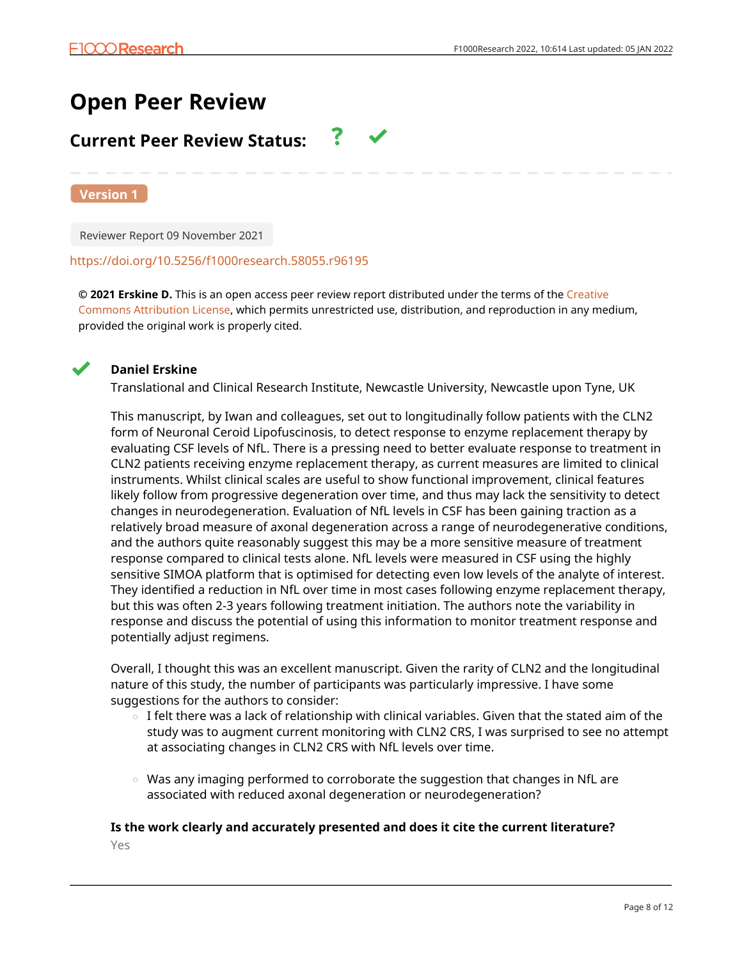# **Open Peer Review**

# **Current Peer Review Status:**

**Version 1**

Reviewer Report 09 November 2021

### <https://doi.org/10.5256/f1000research.58055.r96195>

**© 2021 Erskine D.** This is an open access peer review report distributed under the terms of the [Creative](https://creativecommons.org/licenses/by/4.0/) [Commons Attribution License](https://creativecommons.org/licenses/by/4.0/), which permits unrestricted use, distribution, and reproduction in any medium, provided the original work is properly cited.



## **Daniel Erskine**

Translational and Clinical Research Institute, Newcastle University, Newcastle upon Tyne, UK

This manuscript, by Iwan and colleagues, set out to longitudinally follow patients with the CLN2 form of Neuronal Ceroid Lipofuscinosis, to detect response to enzyme replacement therapy by evaluating CSF levels of NfL. There is a pressing need to better evaluate response to treatment in CLN2 patients receiving enzyme replacement therapy, as current measures are limited to clinical instruments. Whilst clinical scales are useful to show functional improvement, clinical features likely follow from progressive degeneration over time, and thus may lack the sensitivity to detect changes in neurodegeneration. Evaluation of NfL levels in CSF has been gaining traction as a relatively broad measure of axonal degeneration across a range of neurodegenerative conditions, and the authors quite reasonably suggest this may be a more sensitive measure of treatment response compared to clinical tests alone. NfL levels were measured in CSF using the highly sensitive SIMOA platform that is optimised for detecting even low levels of the analyte of interest. They identified a reduction in NfL over time in most cases following enzyme replacement therapy, but this was often 2-3 years following treatment initiation. The authors note the variability in response and discuss the potential of using this information to monitor treatment response and potentially adjust regimens.

Overall, I thought this was an excellent manuscript. Given the rarity of CLN2 and the longitudinal nature of this study, the number of participants was particularly impressive. I have some suggestions for the authors to consider:

- I felt there was a lack of relationship with clinical variables. Given that the stated aim of the study was to augment current monitoring with CLN2 CRS, I was surprised to see no attempt at associating changes in CLN2 CRS with NfL levels over time.  $\circ$
- $\circ$   $\,$  Was any imaging performed to corroborate the suggestion that changes in NfL are associated with reduced axonal degeneration or neurodegeneration?

## **Is the work clearly and accurately presented and does it cite the current literature?**

Yes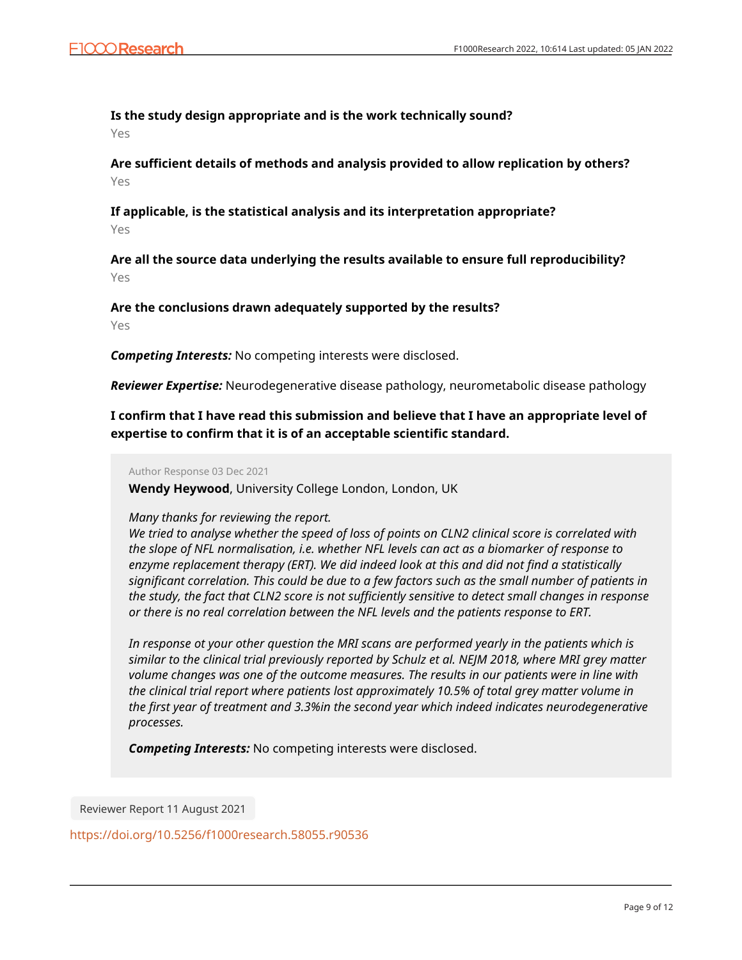## **Is the study design appropriate and is the work technically sound?**

Yes

**Are sufficient details of methods and analysis provided to allow replication by others?** Yes

## **If applicable, is the statistical analysis and its interpretation appropriate?**

Yes

**Are all the source data underlying the results available to ensure full reproducibility?** Yes

**Are the conclusions drawn adequately supported by the results?**

Yes

*Competing Interests:* No competing interests were disclosed.

*Reviewer Expertise:* Neurodegenerative disease pathology, neurometabolic disease pathology

**I confirm that I have read this submission and believe that I have an appropriate level of expertise to confirm that it is of an acceptable scientific standard.**

Author Response 03 Dec 2021

**Wendy Heywood**, University College London, London, UK

## *Many thanks for reviewing the report.*

*We tried to analyse whether the speed of loss of points on CLN2 clinical score is correlated with the slope of NFL normalisation, i.e. whether NFL levels can act as a biomarker of response to enzyme replacement therapy (ERT). We did indeed look at this and did not find a statistically significant correlation. This could be due to a few factors such as the small number of patients in the study, the fact that CLN2 score is not sufficiently sensitive to detect small changes in response or there is no real correlation between the NFL levels and the patients response to ERT.* 

*In response ot your other question the MRI scans are performed yearly in the patients which is similar to the clinical trial previously reported by Schulz et al. NEJM 2018, where MRI grey matter volume changes was one of the outcome measures. The results in our patients were in line with the clinical trial report where patients lost approximately 10.5% of total grey matter volume in the first year of treatment and 3.3%in the second year which indeed indicates neurodegenerative processes.* 

*Competing Interests:* No competing interests were disclosed.

Reviewer Report 11 August 2021

<https://doi.org/10.5256/f1000research.58055.r90536>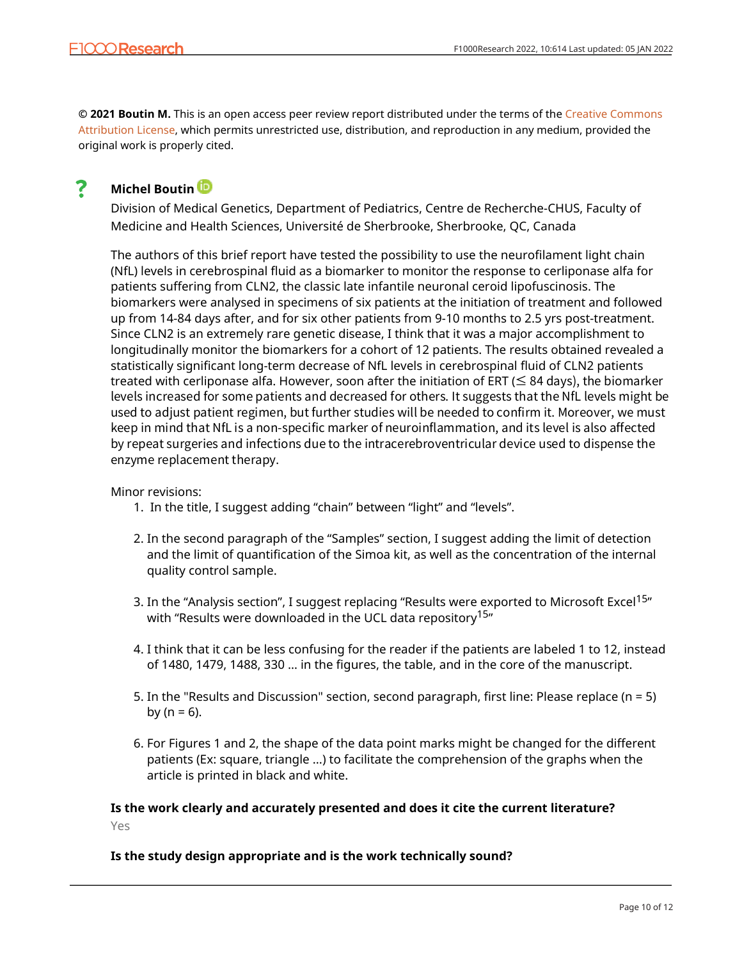**© 2021 Boutin M.** This is an open access peer review report distributed under the terms of the [Creative Commons](https://creativecommons.org/licenses/by/4.0/) [Attribution License](https://creativecommons.org/licenses/by/4.0/), which permits unrestricted use, distribution, and reproduction in any medium, provided the original work is properly cited.

#### ? **Michel Boutin**

Division of Medical Genetics, Department of Pediatrics, Centre de Recherche-CHUS, Faculty of Medicine and Health Sciences, Université de Sherbrooke, Sherbrooke, QC, Canada

The authors of this brief report have tested the possibility to use the neurofilament light chain (NfL) levels in cerebrospinal fluid as a biomarker to monitor the response to cerliponase alfa for patients suffering from CLN2, the classic late infantile neuronal ceroid lipofuscinosis. The biomarkers were analysed in specimens of six patients at the initiation of treatment and followed up from 14-84 days after, and for six other patients from 9-10 months to 2.5 yrs post-treatment. Since CLN2 is an extremely rare genetic disease, I think that it was a major accomplishment to longitudinally monitor the biomarkers for a cohort of 12 patients. The results obtained revealed a statistically significant long-term decrease of NfL levels in cerebrospinal fluid of CLN2 patients treated with cerliponase alfa. However, soon after the initiation of ERT ( $\leq 84$  days), the biomarker levels increased for some patients and decreased for others. It suggests that the NfL levels might be used to adjust patient regimen, but further studies will be needed to confirm it. Moreover, we must keep in mind that NfL is a non-specific marker of neuroinflammation, and its level is also affected by repeat surgeries and infections due to the intracerebroventricular device used to dispense the enzyme replacement therapy.

## Minor revisions:

- 1. In the title, I suggest adding "chain" between "light" and "levels".
- 2. In the second paragraph of the "Samples" section, I suggest adding the limit of detection and the limit of quantification of the Simoa kit, as well as the concentration of the internal quality control sample.
- 3. In the "Analysis section", I suggest replacing "Results were exported to Microsoft Excel<sup>15</sup>" with "Results were downloaded in the UCL data repository<sup>15</sup>"
- 4. I think that it can be less confusing for the reader if the patients are labeled 1 to 12, instead of 1480, 1479, 1488, 330 … in the figures, the table, and in the core of the manuscript.
- 5. In the "Results and Discussion" section, second paragraph, first line: Please replace (n = 5) by ( $n = 6$ ).
- 6. For Figures 1 and 2, the shape of the data point marks might be changed for the different patients (Ex: square, triangle ...) to facilitate the comprehension of the graphs when the article is printed in black and white.

## **Is the work clearly and accurately presented and does it cite the current literature?** Yes

## **Is the study design appropriate and is the work technically sound?**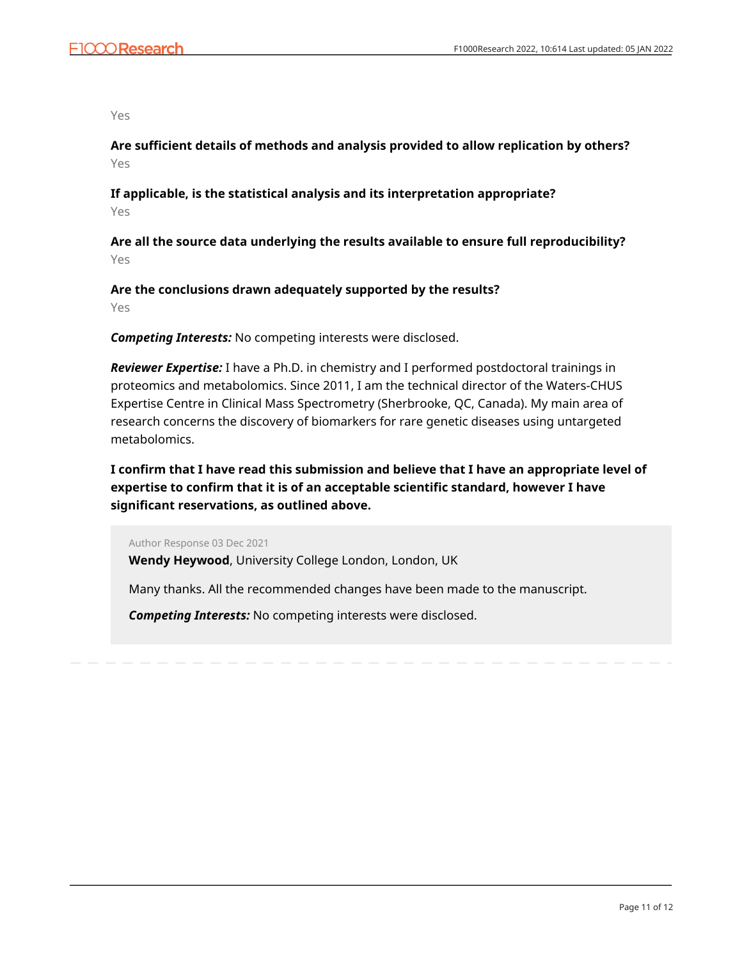Yes

**Are sufficient details of methods and analysis provided to allow replication by others?** Yes

**If applicable, is the statistical analysis and its interpretation appropriate?** Yes

**Are all the source data underlying the results available to ensure full reproducibility?** Yes

**Are the conclusions drawn adequately supported by the results?** Yes

*Competing Interests:* No competing interests were disclosed.

*Reviewer Expertise:* I have a Ph.D. in chemistry and I performed postdoctoral trainings in proteomics and metabolomics. Since 2011, I am the technical director of the Waters-CHUS Expertise Centre in Clinical Mass Spectrometry (Sherbrooke, QC, Canada). My main area of research concerns the discovery of biomarkers for rare genetic diseases using untargeted metabolomics.

**I confirm that I have read this submission and believe that I have an appropriate level of expertise to confirm that it is of an acceptable scientific standard, however I have significant reservations, as outlined above.**

Author Response 03 Dec 2021

**Wendy Heywood**, University College London, London, UK

Many thanks. All the recommended changes have been made to the manuscript.

*Competing Interests:* No competing interests were disclosed.